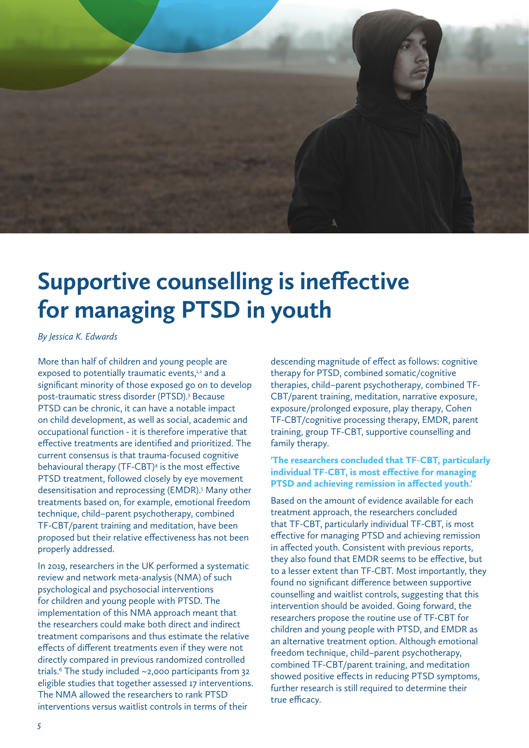

# **Supportive counselling is ineffective for managing PTSD in youth**

*By Jessica K. Edwards*

More than half of children and young people are exposed to potentially traumatic events,<sup>1,2</sup> and a significant minority of those exposed go on to develop post-traumatic stress disorder (PTSD).<sup>3</sup> Because PTSD can be chronic, it can have a notable impact on child development, as well as social, academic and occupational function - it is therefore imperative that effective treatments are identified and prioritized. The current consensus is that trauma-focused cognitive behavioural therapy (TF-CBT)<sup>4</sup> is the most effective PTSD treatment, followed closely by eye movement desensitisation and reprocessing (EMDR).<sup>5</sup> Many other treatments based on, for example, emotional freedom technique, child–parent psychotherapy, combined TF-CBT/parent training and meditation, have been proposed but their relative effectiveness has not been properly addressed.

In 2019, researchers in the UK performed a systematic review and network meta-analysis (NMA) of such psychological and psychosocial interventions for children and young people with PTSD. The implementation of this NMA approach meant that the researchers could make both direct and indirect treatment comparisons and thus estimate the relative effects of different treatments even if they were not directly compared in previous randomized controlled  $t$ rials.<sup>6</sup> The study included  $\sim$ 2,000 participants from 32 eligible studies that together assessed 17 interventions. The NMA allowed the researchers to rank PTSD interventions versus waitlist controls in terms of their

descending magnitude of effect as follows: cognitive therapy for PTSD, combined somatic/cognitive therapies, child–parent psychotherapy, combined TF-CBT/parent training, meditation, narrative exposure, exposure/prolonged exposure, play therapy, Cohen TF-CBT/cognitive processing therapy, EMDR, parent training, group TF-CBT, supportive counselling and family therapy.

# 'The researchers concluded that TF-CBT, particularly individual TF-CBT, is most effective for managing PTSD and achieving remission in affected youth.'

Based on the amount of evidence available for each treatment approach, the researchers concluded that TF-CBT, particularly individual TF-CBT, is most effective for managing PTSD and achieving remission in affected youth. Consistent with previous reports, they also found that EMDR seems to be effective, but to a lesser extent than TF-CBT. Most importantly, they found no significant difference between supportive counselling and waitlist controls, suggesting that this intervention should be avoided. Going forward, the researchers propose the routine use of TF-CBT for children and young people with PTSD, and EMDR as an alternative treatment option. Although emotional freedom technique, child–parent psychotherapy, combined TF-CBT/parent training, and meditation showed positive effects in reducing PTSD symptoms, further research is still required to determine their true efficacy.